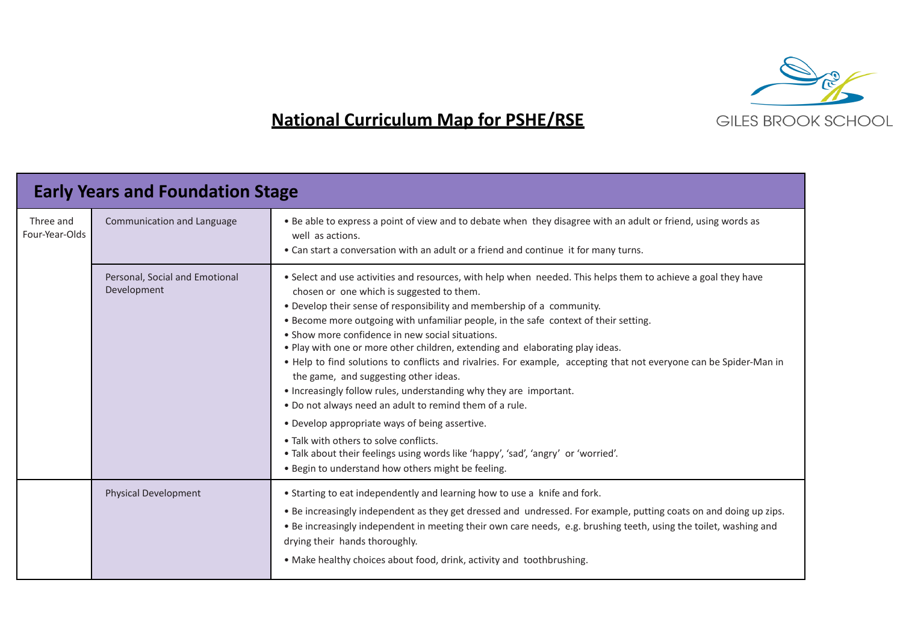

## **National Curriculum Map for PSHE/RSE**

| <b>Early Years and Foundation Stage</b> |                                               |                                                                                                                                                                                                                                                                                                                                                                                                                                                                                                                                                                                                                                                                                                                                                                                                                                                                                                                                                                                                           |  |  |  |
|-----------------------------------------|-----------------------------------------------|-----------------------------------------------------------------------------------------------------------------------------------------------------------------------------------------------------------------------------------------------------------------------------------------------------------------------------------------------------------------------------------------------------------------------------------------------------------------------------------------------------------------------------------------------------------------------------------------------------------------------------------------------------------------------------------------------------------------------------------------------------------------------------------------------------------------------------------------------------------------------------------------------------------------------------------------------------------------------------------------------------------|--|--|--|
| Three and<br>Four-Year-Olds             | Communication and Language                    | . Be able to express a point of view and to debate when they disagree with an adult or friend, using words as<br>well as actions.<br>• Can start a conversation with an adult or a friend and continue it for many turns.                                                                                                                                                                                                                                                                                                                                                                                                                                                                                                                                                                                                                                                                                                                                                                                 |  |  |  |
|                                         | Personal, Social and Emotional<br>Development | . Select and use activities and resources, with help when needed. This helps them to achieve a goal they have<br>chosen or one which is suggested to them.<br>• Develop their sense of responsibility and membership of a community.<br>. Become more outgoing with unfamiliar people, in the safe context of their setting.<br>• Show more confidence in new social situations.<br>. Play with one or more other children, extending and elaborating play ideas.<br>• Help to find solutions to conflicts and rivalries. For example, accepting that not everyone can be Spider-Man in<br>the game, and suggesting other ideas.<br>• Increasingly follow rules, understanding why they are important.<br>. Do not always need an adult to remind them of a rule.<br>• Develop appropriate ways of being assertive.<br>• Talk with others to solve conflicts.<br>. Talk about their feelings using words like 'happy', 'sad', 'angry' or 'worried'.<br>. Begin to understand how others might be feeling. |  |  |  |
|                                         | <b>Physical Development</b>                   | • Starting to eat independently and learning how to use a knife and fork.<br>. Be increasingly independent as they get dressed and undressed. For example, putting coats on and doing up zips.<br>. Be increasingly independent in meeting their own care needs, e.g. brushing teeth, using the toilet, washing and<br>drying their hands thoroughly.<br>• Make healthy choices about food, drink, activity and toothbrushing.                                                                                                                                                                                                                                                                                                                                                                                                                                                                                                                                                                            |  |  |  |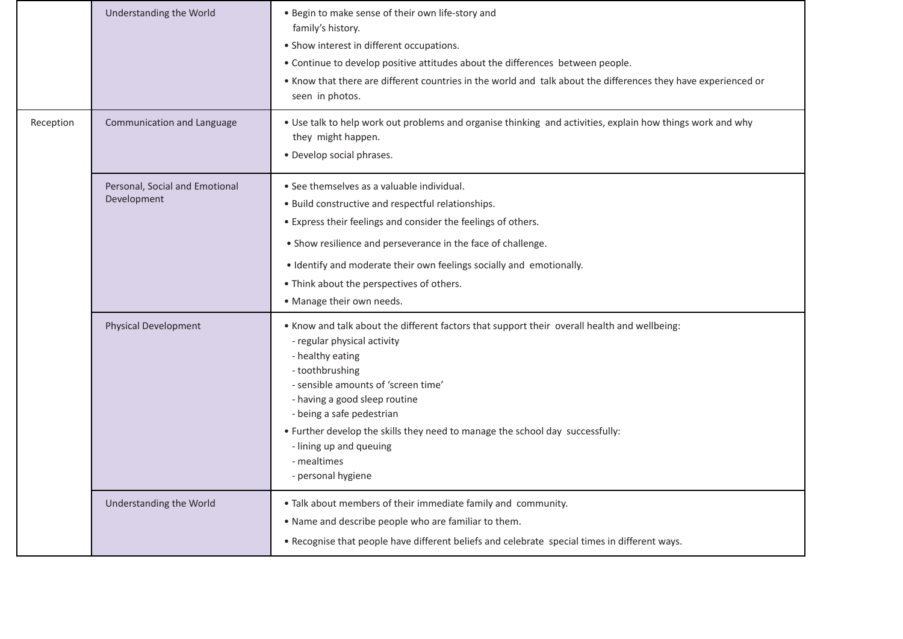| Reception | Understanding the World<br>Communication and Language | . Begin to make sense of their own life-story and<br>family's history.<br>• Show interest in different occupations.<br>. Continue to develop positive attitudes about the differences between people.<br>. Know that there are different countries in the world and talk about the differences they have experienced or<br>seen in photos.<br>. Use talk to help work out problems and organise thinking and activities, explain how things work and why<br>they might happen. |  |
|-----------|-------------------------------------------------------|--------------------------------------------------------------------------------------------------------------------------------------------------------------------------------------------------------------------------------------------------------------------------------------------------------------------------------------------------------------------------------------------------------------------------------------------------------------------------------|--|
|           | Personal, Social and Emotional<br>Development         | · Develop social phrases.<br>• See themselves as a valuable individual.<br>. Build constructive and respectful relationships.<br>• Express their feelings and consider the feelings of others.<br>• Show resilience and perseverance in the face of challenge.<br>• Identify and moderate their own feelings socially and emotionally.<br>• Think about the perspectives of others.<br>• Manage their own needs.                                                               |  |
|           | <b>Physical Development</b>                           | . Know and talk about the different factors that support their overall health and wellbeing:<br>- regular physical activity<br>- healthy eating<br>- toothbrushing<br>- sensible amounts of 'screen time'<br>- having a good sleep routine<br>- being a safe pedestrian<br>. Further develop the skills they need to manage the school day successfully:<br>- lining up and queuing<br>- mealtimes<br>- personal hygiene                                                       |  |
|           | Understanding the World                               | . Talk about members of their immediate family and community.<br>. Name and describe people who are familiar to them.<br>. Recognise that people have different beliefs and celebrate special times in different ways.                                                                                                                                                                                                                                                         |  |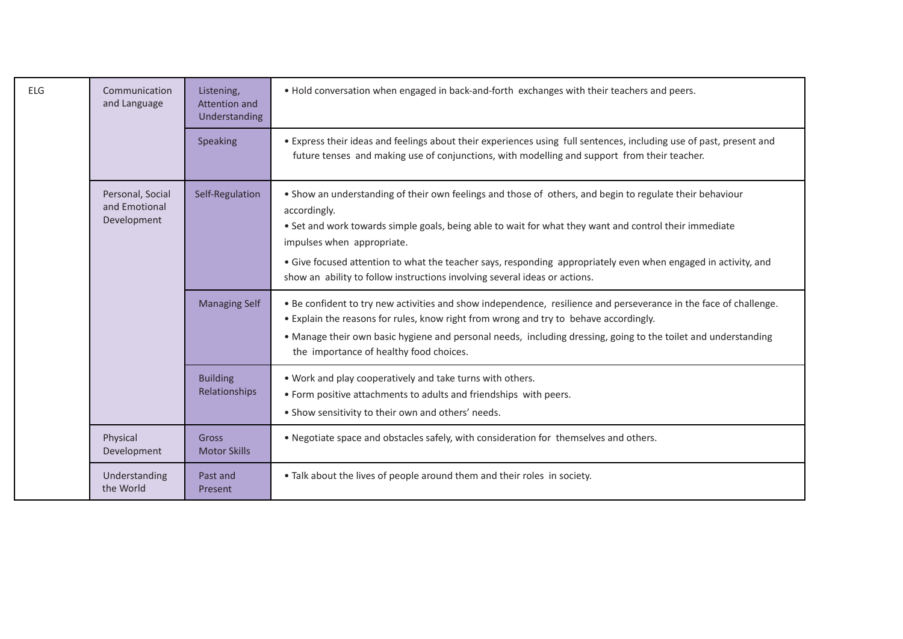| <b>ELG</b> | Communication<br>and Language                    | Listening,<br>Attention and<br>Understanding | . Hold conversation when engaged in back-and-forth exchanges with their teachers and peers.                                                                                                                                                                                                                                                                                                                                                                      |  |  |
|------------|--------------------------------------------------|----------------------------------------------|------------------------------------------------------------------------------------------------------------------------------------------------------------------------------------------------------------------------------------------------------------------------------------------------------------------------------------------------------------------------------------------------------------------------------------------------------------------|--|--|
|            |                                                  | Speaking                                     | • Express their ideas and feelings about their experiences using full sentences, including use of past, present and<br>future tenses and making use of conjunctions, with modelling and support from their teacher.                                                                                                                                                                                                                                              |  |  |
|            | Personal, Social<br>and Emotional<br>Development | Self-Regulation                              | . Show an understanding of their own feelings and those of others, and begin to regulate their behaviour<br>accordingly.<br>• Set and work towards simple goals, being able to wait for what they want and control their immediate<br>impulses when appropriate.<br>• Give focused attention to what the teacher says, responding appropriately even when engaged in activity, and<br>show an ability to follow instructions involving several ideas or actions. |  |  |
|            |                                                  | <b>Managing Self</b>                         | . Be confident to try new activities and show independence, resilience and perseverance in the face of challenge.<br>• Explain the reasons for rules, know right from wrong and try to behave accordingly.<br>• Manage their own basic hygiene and personal needs, including dressing, going to the toilet and understanding<br>the importance of healthy food choices.                                                                                          |  |  |
|            |                                                  | <b>Building</b><br>Relationships             | . Work and play cooperatively and take turns with others.<br>• Form positive attachments to adults and friendships with peers.<br>. Show sensitivity to their own and others' needs.                                                                                                                                                                                                                                                                             |  |  |
|            | Physical<br>Development                          | Gross<br><b>Motor Skills</b>                 | . Negotiate space and obstacles safely, with consideration for themselves and others.                                                                                                                                                                                                                                                                                                                                                                            |  |  |
|            | Understanding<br>the World                       | Past and<br>Present                          | • Talk about the lives of people around them and their roles in society.                                                                                                                                                                                                                                                                                                                                                                                         |  |  |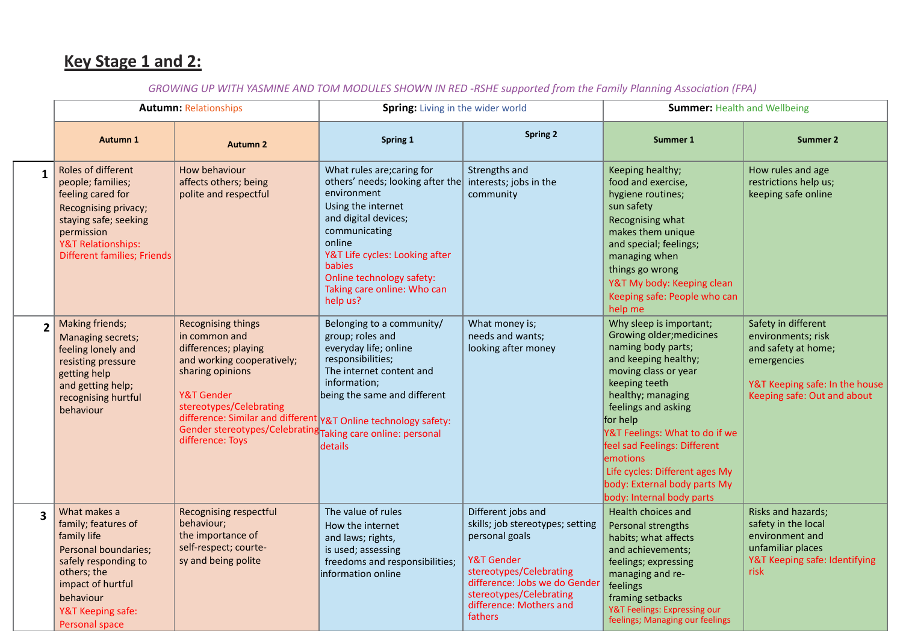## **Key Stage 1 and 2:**

## GROWING UP WITH YASMINE AND TOM MODULES SHOWN IN RED -RSHE supported from the Family Planning Association (FPA)

|                         | <b>Autumn: Relationships</b>                                                                                                                                                                       |                                                                                                                                                                                                                                                                                                                     | Spring: Living in the wider world                                                                                                                                                                                                                                                                        |                                                                                                                                                                                                                            | <b>Summer: Health and Wellbeing</b>                                                                                                                                                                                                                                                                                                                                             |                                                                                                                                                  |
|-------------------------|----------------------------------------------------------------------------------------------------------------------------------------------------------------------------------------------------|---------------------------------------------------------------------------------------------------------------------------------------------------------------------------------------------------------------------------------------------------------------------------------------------------------------------|----------------------------------------------------------------------------------------------------------------------------------------------------------------------------------------------------------------------------------------------------------------------------------------------------------|----------------------------------------------------------------------------------------------------------------------------------------------------------------------------------------------------------------------------|---------------------------------------------------------------------------------------------------------------------------------------------------------------------------------------------------------------------------------------------------------------------------------------------------------------------------------------------------------------------------------|--------------------------------------------------------------------------------------------------------------------------------------------------|
|                         | <b>Autumn 1</b>                                                                                                                                                                                    | <b>Autumn 2</b>                                                                                                                                                                                                                                                                                                     | Spring 1                                                                                                                                                                                                                                                                                                 | <b>Spring 2</b>                                                                                                                                                                                                            | <b>Summer 1</b>                                                                                                                                                                                                                                                                                                                                                                 | <b>Summer 2</b>                                                                                                                                  |
| $\mathbf{1}$            | Roles of different<br>people; families;<br>feeling cared for<br>Recognising privacy;<br>staying safe; seeking<br>permission<br><b>Y&amp;T Relationships:</b><br><b>Different families; Friends</b> | How behaviour<br>affects others; being<br>polite and respectful                                                                                                                                                                                                                                                     | What rules are; caring for<br>others' needs; looking after the interests; jobs in the<br>environment<br>Using the internet<br>and digital devices;<br>communicating<br>online<br>Y&T Life cycles: Looking after<br><b>babies</b><br>Online technology safety:<br>Taking care online: Who can<br>help us? | Strengths and<br>community                                                                                                                                                                                                 | Keeping healthy;<br>food and exercise,<br>hygiene routines;<br>sun safety<br>Recognising what<br>makes them unique<br>and special; feelings;<br>managing when<br>things go wrong<br>Y&T My body: Keeping clean<br>Keeping safe: People who can<br>help me                                                                                                                       | How rules and age<br>restrictions help us;<br>keeping safe online                                                                                |
|                         | Making friends;<br>Managing secrets;<br>feeling lonely and<br>resisting pressure<br>getting help<br>and getting help;<br>recognising hurtful<br>behaviour                                          | <b>Recognising things</b><br>in common and<br>differences; playing<br>and working cooperatively;<br>sharing opinions<br>Y&T Gender<br>stereotypes/Celebrating<br>difference: Similar and different Y&T Online technology safety:<br>Gender stereotypes/Celebrating Taking care online: personal<br>difference: Toys | Belonging to a community/<br>group; roles and<br>everyday life; online<br>responsibilities;<br>The internet content and<br>information;<br>being the same and different<br>details                                                                                                                       | What money is;<br>needs and wants;<br>looking after money                                                                                                                                                                  | Why sleep is important;<br>Growing older; medicines<br>naming body parts;<br>and keeping healthy;<br>moving class or year<br>keeping teeth<br>healthy; managing<br>feelings and asking<br>for help<br>Y&T Feelings: What to do if we<br>feel sad Feelings: Different<br>emotions<br>Life cycles: Different ages My<br>body: External body parts My<br>body: Internal body parts | Safety in different<br>environments; risk<br>and safety at home;<br>emergencies<br>Y&T Keeping safe: In the house<br>Keeping safe: Out and about |
| $\overline{\mathbf{3}}$ | What makes a<br>family; features of<br>family life<br>Personal boundaries;<br>safely responding to<br>others; the<br>impact of hurtful<br>behaviour<br>Y&T Keeping safe:<br>Personal space         | <b>Recognising respectful</b><br>behaviour;<br>the importance of<br>self-respect; courte-<br>sy and being polite                                                                                                                                                                                                    | The value of rules<br>How the internet<br>and laws; rights,<br>is used; assessing<br>freedoms and responsibilities;<br>information online                                                                                                                                                                | Different jobs and<br>skills; job stereotypes; setting<br>personal goals<br>Y&T Gender<br>stereotypes/Celebrating<br>difference: Jobs we do Gender<br>stereotypes/Celebrating<br>difference: Mothers and<br><b>fathers</b> | Health choices and<br>Personal strengths<br>habits; what affects<br>and achievements;<br>feelings; expressing<br>managing and re-<br>feelings<br>framing setbacks<br>Y&T Feelings: Expressing our<br>feelings; Managing our feelings                                                                                                                                            | Risks and hazards;<br>safety in the local<br>environment and<br>unfamiliar places<br>Y&T Keeping safe: Identifying<br>risk                       |